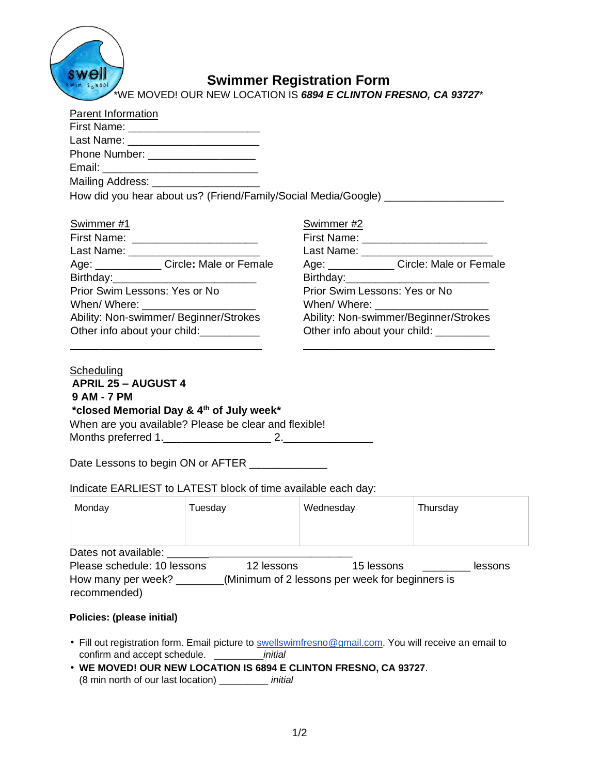

# **Swimmer Registration Form**

WE MOVED! OUR NEW LOCATION IS 6894 E CLINTON FRESNO, CA 93727<sup>\*</sup>

| <b>Parent Information</b>                  |                                                                                  |  |  |
|--------------------------------------------|----------------------------------------------------------------------------------|--|--|
|                                            |                                                                                  |  |  |
| Last Name: ____________________________    |                                                                                  |  |  |
| Phone Number: _____________________        |                                                                                  |  |  |
|                                            |                                                                                  |  |  |
| Mailing Address: ____________________      |                                                                                  |  |  |
|                                            | How did you hear about us? (Friend/Family/Social Media/Google) _________________ |  |  |
|                                            |                                                                                  |  |  |
| Swimmer #1                                 | Swimmer #2                                                                       |  |  |
|                                            |                                                                                  |  |  |
| Last Name: __________________________      | Last Name: ____________________________                                          |  |  |
| Age: ______________ Circle: Male or Female | Age: ______________ Circle: Male or Female                                       |  |  |
|                                            |                                                                                  |  |  |
| Prior Swim Lessons: Yes or No              | Prior Swim Lessons: Yes or No                                                    |  |  |
|                                            | When/ Where: ________________________                                            |  |  |
| Ability: Non-swimmer/ Beginner/Strokes     | Ability: Non-swimmer/Beginner/Strokes                                            |  |  |
| Other info about your child:               | Other info about your child: _________                                           |  |  |
|                                            |                                                                                  |  |  |
|                                            |                                                                                  |  |  |

## **Scheduling APRIL 25 – AUGUST 4 9 AM - 7 PM \*closed Memorial Day & 4th of July week\*** When are you available? Please be clear and flexible!

Months preferred 1.\_\_\_\_\_\_\_\_\_\_\_\_\_\_\_\_\_\_ 2.\_\_\_\_\_\_\_\_\_\_\_\_\_\_\_

Date Lessons to begin ON or AFTER \_\_\_\_\_\_\_\_\_\_

Indicate EARLIEST to LATEST block of time available each day:

| Monday                                                                                    | Tuesday    | Wednesday                                                     | Thursday |
|-------------------------------------------------------------------------------------------|------------|---------------------------------------------------------------|----------|
| Dates not available:<br>Please schedule: 10 lessons<br>How many per week?<br>recommended) | 12 lessons | 15 lessons<br>(Minimum of 2 lessons per week for beginners is | lessons  |

### **Policies: (please initial)**

- Fill out registration form. Email picture to [swellswimfresno@gmail.com.](mailto:swellswimfresno@gmail.com) You will receive an email to confirm and accept schedule. \_\_\_\_\_\_\_\_\_*initial*
- **WE MOVED! OUR NEW LOCATION IS 6894 E CLINTON FRESNO, CA 93727**. (8 min north of our last location) \_\_\_\_\_\_\_\_\_ *initial*